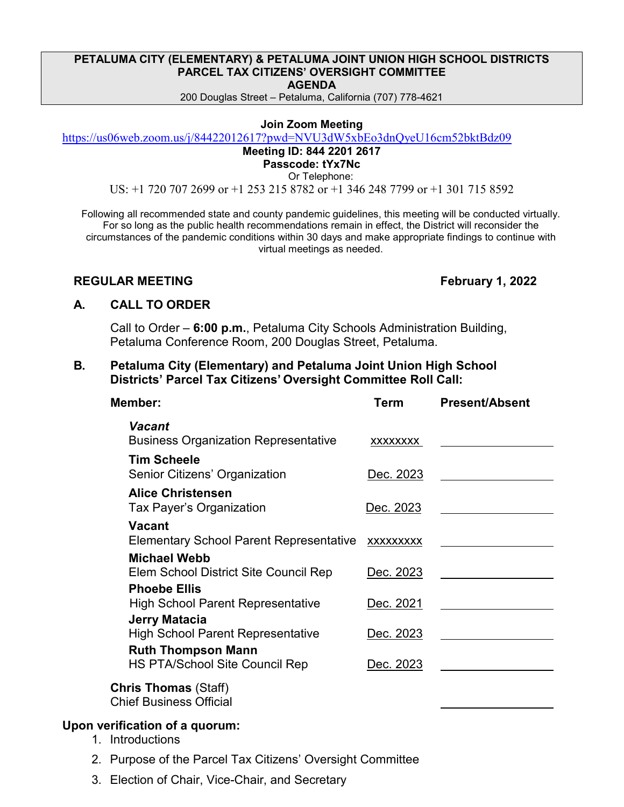### **PETALUMA CITY (ELEMENTARY) & PETALUMA JOINT UNION HIGH SCHOOL DISTRICTS PARCEL TAX CITIZENS' OVERSIGHT COMMITTEE AGENDA**

200 Douglas Street – Petaluma, California (707) 778-4621

### **Join Zoom Meeting**

<https://us06web.zoom.us/j/84422012617?pwd=NVU3dW5xbEo3dnQyeU16cm52bktBdz09>

# **Meeting ID: 844 2201 2617**

**Passcode: tYx7Nc** Or Telephone:

US: +1 720 707 2699 or +1 253 215 8782 or +1 346 248 7799 or +1 301 715 8592

Following all recommended state and county pandemic guidelines, this meeting will be conducted virtually. For so long as the public health recommendations remain in effect, the District will reconsider the circumstances of the pandemic conditions within 30 days and make appropriate findings to continue with virtual meetings as needed.

### **REGULAR MEETING February 1, 2022**

# **A. CALL TO ORDER**

Call to Order – **6:00 p.m.**, Petaluma City Schools Administration Building, Petaluma Conference Room, 200 Douglas Street, Petaluma.

# **B. Petaluma City (Elementary) and Petaluma Joint Union High School Districts' Parcel Tax Citizens' Oversight Committee Roll Call:**

| Member:                                                            | Term             | <b>Present/Absent</b> |
|--------------------------------------------------------------------|------------------|-----------------------|
| Vacant<br><b>Business Organization Representative</b>              | XXXXXXXX         |                       |
| <b>Tim Scheele</b><br>Senior Citizens' Organization                | Dec. 2023        |                       |
| <b>Alice Christensen</b><br>Tax Payer's Organization               | Dec. 2023        |                       |
| <b>Vacant</b><br><b>Elementary School Parent Representative</b>    | XXXXXXXX         |                       |
| <b>Michael Webb</b><br>Elem School District Site Council Rep       | Dec. 2023        |                       |
| <b>Phoebe Ellis</b><br><b>High School Parent Representative</b>    | Dec. 2021        |                       |
| <b>Jerry Matacia</b><br><b>High School Parent Representative</b>   | Dec. 2023        |                       |
| <b>Ruth Thompson Mann</b><br><b>HS PTA/School Site Council Rep</b> | <u>Dec. 2023</u> |                       |
| <b>Chris Thomas</b> (Staff)<br><b>Chief Business Official</b>      |                  |                       |

# **Upon verification of a quorum:**

- 1. Introductions
- 2. Purpose of the Parcel Tax Citizens' Oversight Committee
- 3. Election of Chair, Vice-Chair, and Secretary